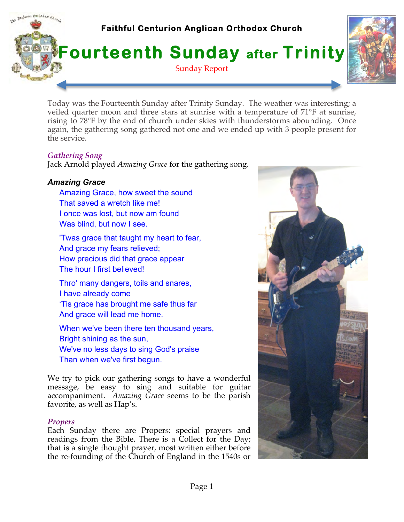

Today was the Fourteenth Sunday after Trinity Sunday. The weather was interesting; a veiled quarter moon and three stars at sunrise with a temperature of 71°F at sunrise, rising to 78°F by the end of church under skies with thunderstorms abounding. Once again, the gathering song gathered not one and we ended up with 3 people present for the service.

### *Gathering Song*

Jack Arnold played *Amazing Grace* for the gathering song.

# *Amazing Grace*

Amazing Grace, how sweet the sound That saved a wretch like me! I once was lost, but now am found Was blind, but now I see.

'Twas grace that taught my heart to fear, And grace my fears relieved; How precious did that grace appear The hour I first believed!

Thro' many dangers, toils and snares, I have already come 'Tis grace has brought me safe thus far And grace will lead me home.

When we've been there ten thousand years, Bright shining as the sun, We've no less days to sing God's praise Than when we've first begun.

We try to pick our gathering songs to have a wonderful message, be easy to sing and suitable for guitar accompaniment. *Amazing Grace* seems to be the parish favorite, as well as Hap's.

### *Propers*

Each Sunday there are Propers: special prayers and readings from the Bible. There is a Collect for the Day; that is a single thought prayer, most written either before the re-founding of the Church of England in the 1540s or

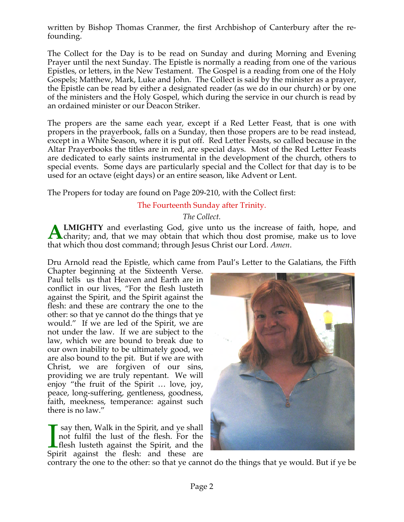written by Bishop Thomas Cranmer, the first Archbishop of Canterbury after the refounding.

The Collect for the Day is to be read on Sunday and during Morning and Evening Prayer until the next Sunday. The Epistle is normally a reading from one of the various Epistles, or letters, in the New Testament. The Gospel is a reading from one of the Holy Gospels; Matthew, Mark, Luke and John. The Collect is said by the minister as a prayer, the Epistle can be read by either a designated reader (as we do in our church) or by one of the ministers and the Holy Gospel, which during the service in our church is read by an ordained minister or our Deacon Striker.

The propers are the same each year, except if a Red Letter Feast, that is one with propers in the prayerbook, falls on a Sunday, then those propers are to be read instead, except in a White Season, where it is put off. Red Letter Feasts, so called because in the Altar Prayerbooks the titles are in red, are special days. Most of the Red Letter Feasts are dedicated to early saints instrumental in the development of the church, others to special events. Some days are particularly special and the Collect for that day is to be used for an octave (eight days) or an entire season, like Advent or Lent.

The Propers for today are found on Page 209-210, with the Collect first:

# The Fourteenth Sunday after Trinity.

## *The Collect.*

**LMIGHTY** and everlasting God, give unto us the increase of faith, hope, and charity; and, that we may obtain that which thou dost promise, make us to love that which thou dost command; through Jesus Christ our Lord. *Amen*. **A**

Dru Arnold read the Epistle, which came from Paul's Letter to the Galatians, the Fifth

Chapter beginning at the Sixteenth Verse. Paul tells us that Heaven and Earth are in conflict in our lives, "For the flesh lusteth against the Spirit, and the Spirit against the flesh: and these are contrary the one to the other: so that ye cannot do the things that ye would." If we are led of the Spirit, we are not under the law. If we are subject to the law, which we are bound to break due to our own inability to be ultimately good, we are also bound to the pit. But if we are with Christ, we are forgiven of our sins, providing we are truly repentant. We will enjoy "the fruit of the Spirit … love, joy, peace, long-suffering, gentleness, goodness, faith, meekness, temperance: against such there is no law."

 say then, Walk in the Spirit, and ye shall not fulfil the lust of the flesh. For the **L** flesh lusteth against the Spirit, and the Say then, Walk in the Spirit, and ye shall not fulfil the lust of the flesh. For the flesh lusteth against the Spirit, and the Spirit against the flesh: and these are



contrary the one to the other: so that ye cannot do the things that ye would. But if ye be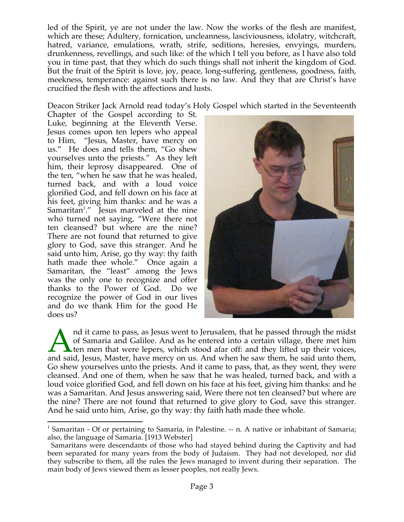led of the Spirit, ye are not under the law. Now the works of the flesh are manifest, which are these; Adultery, fornication, uncleanness, lasciviousness, idolatry, witchcraft, hatred, variance, emulations, wrath, strife, seditions, heresies, envyings, murders, drunkenness, revellings, and such like: of the which I tell you before, as I have also told you in time past, that they which do such things shall not inherit the kingdom of God. But the fruit of the Spirit is love, joy, peace, long-suffering, gentleness, goodness, faith, meekness, temperance: against such there is no law. And they that are Christ's have crucified the flesh with the affections and lusts.

Deacon Striker Jack Arnold read today's Holy Gospel which started in the Seventeenth

Chapter of the Gospel according to St. Luke, beginning at the Eleventh Verse. Jesus comes upon ten lepers who appeal to Him, "Jesus, Master, have mercy on us." He does and tells them, "Go shew yourselves unto the priests." As they left him, their leprosy disappeared. One of the ten, "when he saw that he was healed, turned back, and with a loud voice glorified God, and fell down on his face at his feet, giving him thanks: and he was a Samaritan<sup>1</sup>." Jesus marveled at the nine who turned not saying, "Were there not ten cleansed? but where are the nine? There are not found that returned to give glory to God, save this stranger. And he said unto him, Arise, go thy way: thy faith hath made thee whole." Once again a Samaritan, the "least" among the Jews was the only one to recognize and offer thanks to the Power of God. Do we recognize the power of God in our lives and do we thank Him for the good He does us?



nd it came to pass, as Jesus went to Jerusalem, that he passed through the midst of Samaria and Galilee. And as he entered into a certain village, there met him Len men that were lepers, which stood afar off: and they lifted up their voices, and it came to pass, as Jesus went to Jerusalem, that he passed through the midst of Samaria and Galilee. And as he entered into a certain village, there met him ten men that were lepers, which stood afar off: and they lif Go shew yourselves unto the priests. And it came to pass, that, as they went, they were cleansed. And one of them, when he saw that he was healed, turned back, and with a loud voice glorified God, and fell down on his face at his feet, giving him thanks: and he was a Samaritan. And Jesus answering said, Were there not ten cleansed? but where are the nine? There are not found that returned to give glory to God, save this stranger. And he said unto him, Arise, go thy way: thy faith hath made thee whole.

 $\frac{1}{1}$ <sup>1</sup> Samaritan - Of or pertaining to Samaria, in Palestine.  $-$  n. A native or inhabitant of Samaria; also, the language of Samaria. [1913 Webster]

Samaritans were descendants of those who had stayed behind during the Captivity and had been separated for many years from the body of Judaism. They had not developed, nor did they subscribe to them, all the rules the Jews managed to invent during their separation. The main body of Jews viewed them as lesser peoples, not really Jews.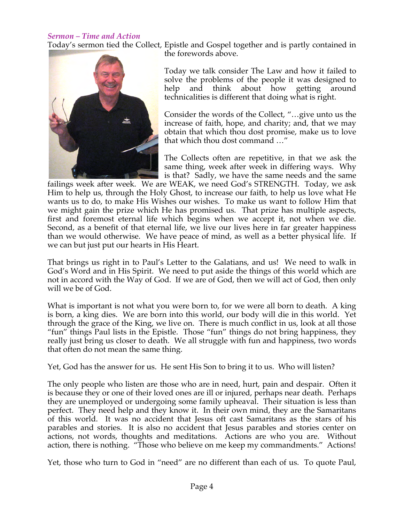## *Sermon – Time and Action*

Today's sermon tied the Collect, Epistle and Gospel together and is partly contained in the forewords above.



Today we talk consider The Law and how it failed to solve the problems of the people it was designed to help and think about how getting around technicalities is different that doing what is right.

Consider the words of the Collect, "…give unto us the increase of faith, hope, and charity; and, that we may obtain that which thou dost promise, make us to love that which thou dost command …"

The Collects often are repetitive, in that we ask the same thing, week after week in differing ways. Why is that? Sadly, we have the same needs and the same

failings week after week. We are WEAK, we need God's STRENGTH. Today, we ask Him to help us, through the Holy Ghost, to increase our faith, to help us love what He wants us to do, to make His Wishes our wishes. To make us want to follow Him that we might gain the prize which He has promised us. That prize has multiple aspects, first and foremost eternal life which begins when we accept it, not when we die. Second, as a benefit of that eternal life, we live our lives here in far greater happiness than we would otherwise. We have peace of mind, as well as a better physical life. If we can but just put our hearts in His Heart.

That brings us right in to Paul's Letter to the Galatians, and us! We need to walk in God's Word and in His Spirit. We need to put aside the things of this world which are not in accord with the Way of God. If we are of God, then we will act of God, then only will we be of God.

What is important is not what you were born to, for we were all born to death. A king is born, a king dies. We are born into this world, our body will die in this world. Yet through the grace of the King, we live on. There is much conflict in us, look at all those "fun" things Paul lists in the Epistle. Those "fun" things do not bring happiness, they really just bring us closer to death. We all struggle with fun and happiness, two words that often do not mean the same thing.

Yet, God has the answer for us. He sent His Son to bring it to us. Who will listen?

The only people who listen are those who are in need, hurt, pain and despair. Often it is because they or one of their loved ones are ill or injured, perhaps near death. Perhaps they are unemployed or undergoing some family upheaval. Their situation is less than perfect. They need help and they know it. In their own mind, they are the Samaritans of this world. It was no accident that Jesus oft cast Samaritans as the stars of his parables and stories. It is also no accident that Jesus parables and stories center on actions, not words, thoughts and meditations. Actions are who you are. Without action, there is nothing. "Those who believe on me keep my commandments." Actions!

Yet, those who turn to God in "need" are no different than each of us. To quote Paul,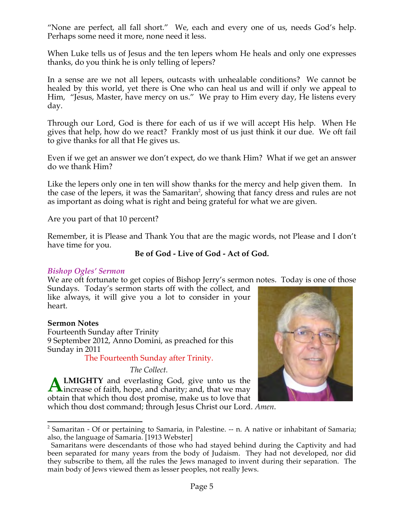"None are perfect, all fall short." We, each and every one of us, needs God's help. Perhaps some need it more, none need it less.

When Luke tells us of Jesus and the ten lepers whom He heals and only one expresses thanks, do you think he is only telling of lepers?

In a sense are we not all lepers, outcasts with unhealable conditions? We cannot be healed by this world, yet there is One who can heal us and will if only we appeal to Him, "Jesus, Master, have mercy on us." We pray to Him every day, He listens every day.

Through our Lord, God is there for each of us if we will accept His help. When He gives that help, how do we react? Frankly most of us just think it our due. We oft fail to give thanks for all that He gives us.

Even if we get an answer we don't expect, do we thank Him? What if we get an answer do we thank Him?

Like the lepers only one in ten will show thanks for the mercy and help given them. In the case of the lepers, it was the Samaritan<sup>2</sup>, showing that fancy dress and rules are not as important as doing what is right and being grateful for what we are given.

Are you part of that 10 percent?

Remember, it is Please and Thank You that are the magic words, not Please and I don't have time for you.

#### **Be of God - Live of God - Act of God.**

#### *Bishop Ogles' Sermon*

We are oft fortunate to get copies of Bishop Jerry's sermon notes. Today is one of those

Sundays. Today's sermon starts off with the collect, and like always, it will give you a lot to consider in your heart.

#### **Sermon Notes**

Fourteenth Sunday after Trinity 9 September 2012, Anno Domini, as preached for this Sunday in 2011

The Fourteenth Sunday after Trinity.

*The Collect.*

**LMIGHTY** and everlasting God, give unto us the **ALMIGHTY** and everlasting God, give unto us the increase of faith, hope, and charity; and, that we may obtain that which thou dost promise, make us to love that which thou dost command; through Jesus Christ our Lord. *Amen*.



 $\frac{1}{2}$  $2$  Samaritan - Of or pertaining to Samaria, in Palestine.  $-$  n. A native or inhabitant of Samaria; also, the language of Samaria. [1913 Webster]

Samaritans were descendants of those who had stayed behind during the Captivity and had been separated for many years from the body of Judaism. They had not developed, nor did they subscribe to them, all the rules the Jews managed to invent during their separation. The main body of Jews viewed them as lesser peoples, not really Jews.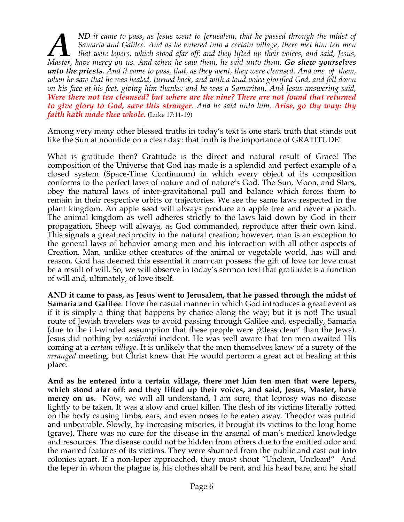*ND it came to pass, as Jesus went to Jerusalem, that he passed through the midst of Samaria and Galilee. And as he entered into a certain village, there met him ten men that were lepers, which stood afar off: and they lifted up their voices, and said, Jesus, MD* it came to pass, as Jesus went to Jerusalem, that he passed through the midst of Samaria and Galilee. And as he entered into a certain village, there met him ten men that were lepers, which stood afar off: and they li *unto the priests. And it came to pass, that, as they went, they were cleansed. And one of them, when he saw that he was healed, turned back, and with a loud voice glorified God, and fell down on his face at his feet, giving him thanks: and he was a Samaritan. And Jesus answering said, Were there not ten cleansed? but where are the nine? There are not found that returned to give glory to God, save this stranger. And he said unto him, Arise, go thy way: thy faith hath made thee whole***.** (Luke 17:11-19)

Among very many other blessed truths in today's text is one stark truth that stands out like the Sun at noontide on a clear day: that truth is the importance of GRATITUDE!

What is gratitude then? Gratitude is the direct and natural result of Grace! The composition of the Universe that God has made is a splendid and perfect example of a closed system (Space-Time Continuum) in which every object of its composition conforms to the perfect laws of nature and of nature's God. The Sun, Moon, and Stars, obey the natural laws of inter-gravitational pull and balance which forces them to remain in their respective orbits or trajectories. We see the same laws respected in the plant kingdom. An apple seed will always produce an apple tree and never a peach. The animal kingdom as well adheres strictly to the laws laid down by God in their propagation. Sheep will always, as God commanded, reproduce after their own kind. This signals a great reciprocity in the natural creation; however, man is an exception to the general laws of behavior among men and his interaction with all other aspects of Creation. Man, unlike other creatures of the animal or vegetable world, has will and reason. God has deemed this essential if man can possess the gift of love for love must be a result of will. So, we will observe in today's sermon text that gratitude is a function of will and, ultimately, of love itself.

**AND it came to pass, as Jesus went to Jerusalem, that he passed through the midst of Samaria and Galilee**. I love the casual manner in which God introduces a great event as if it is simply a thing that happens by chance along the way; but it is not! The usual route of Jewish travelers was to avoid passing through Galilee and, especially, Samaria (due to the ill-winded assumption that these people were ¡®less clean' than the Jews). Jesus did nothing by *accidental* incident. He was well aware that ten men awaited His coming at a *certain village*. It is unlikely that the men themselves knew of a surety of the *arranged* meeting, but Christ knew that He would perform a great act of healing at this place.

**And as he entered into a certain village, there met him ten men that were lepers, which stood afar off: and they lifted up their voices, and said, Jesus, Master, have mercy on us.** Now, we will all understand, I am sure, that leprosy was no disease lightly to be taken. It was a slow and cruel killer. The flesh of its victims literally rotted on the body causing limbs, ears, and even noses to be eaten away. Theodor was putrid and unbearable. Slowly, by increasing miseries, it brought its victims to the long home (grave). There was no cure for the disease in the arsenal of man's medical knowledge and resources. The disease could not be hidden from others due to the emitted odor and the marred features of its victims. They were shunned from the public and cast out into colonies apart. If a non-leper approached, they must shout "Unclean, Unclean!" And the leper in whom the plague is, his clothes shall be rent, and his head bare, and he shall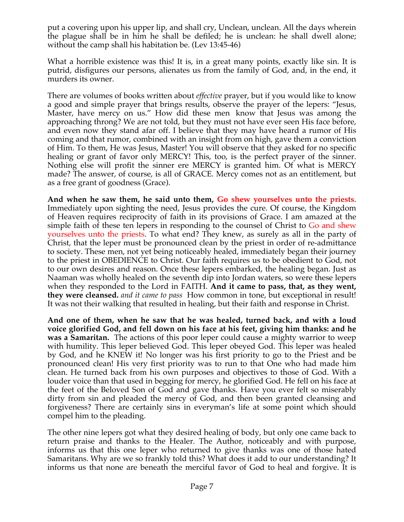put a covering upon his upper lip, and shall cry, Unclean, unclean. All the days wherein the plague shall be in him he shall be defiled; he is unclean: he shall dwell alone; without the camp shall his habitation be. (Lev 13:45-46)

What a horrible existence was this! It is, in a great many points, exactly like sin. It is putrid, disfigures our persons, alienates us from the family of God, and, in the end, it murders its owner.

There are volumes of books written about *effective* prayer, but if you would like to know a good and simple prayer that brings results, observe the prayer of the lepers: "Jesus, Master, have mercy on us." How did these men know that Jesus was among the approaching throng? We are not told, but they must not have ever seen His face before, and even now they stand afar off. I believe that they may have heard a rumor of His coming and that rumor, combined with an insight from on high, gave them a conviction of Him. To them, He was Jesus, Master! You will observe that they asked for no specific healing or grant of favor only MERCY! This, too, is the perfect prayer of the sinner. Nothing else will profit the sinner ere MERCY is granted him. Of what is MERCY made? The answer, of course, is all of GRACE. Mercy comes not as an entitlement, but as a free grant of goodness (Grace).

**And when he saw them, he said unto them, Go shew yourselves unto the priests**. Immediately upon sighting the need, Jesus provides the cure. Of course, the Kingdom of Heaven requires reciprocity of faith in its provisions of Grace. I am amazed at the simple faith of these ten lepers in responding to the counsel of Christ to Go and shew yourselves unto the priests. To what end? They knew, as surely as all in the party of Christ, that the leper must be pronounced clean by the priest in order of re-admittance to society. These men, not yet being noticeably healed, immediately began their journey to the priest in OBEDIENCE to Christ. Our faith requires us to be obedient to God, not to our own desires and reason. Once these lepers embarked, the healing began. Just as Naaman was wholly healed on the seventh dip into Jordan waters, so were these lepers when they responded to the Lord in FAITH. **And it came to pass, that, as they went, they were cleansed.** *and it came to pass* How common in tone, but exceptional in result! It was not their walking that resulted in healing, but their faith and response in Christ.

**And one of them, when he saw that he was healed, turned back, and with a loud voice glorified God, and fell down on his face at his feet, giving him thanks: and he was a Samaritan.** The actions of this poor leper could cause a mighty warrior to weep with humility. This leper believed God. This leper obeyed God. This leper was healed by God, and he KNEW it! No longer was his first priority to go to the Priest and be pronounced clean! His very first priority was to run to that One who had made him clean. He turned back from his own purposes and objectives to those of God. With a louder voice than that used in begging for mercy, he glorified God. He fell on his face at the feet of the Beloved Son of God and gave thanks. Have you ever felt so miserably dirty from sin and pleaded the mercy of God, and then been granted cleansing and forgiveness? There are certainly sins in everyman's life at some point which should compel him to the pleading.

The other nine lepers got what they desired healing of body, but only one came back to return praise and thanks to the Healer. The Author, noticeably and with purpose, informs us that this one leper who returned to give thanks was one of those hated Samaritans. Why are we so frankly told this? What does it add to our understanding? It informs us that none are beneath the merciful favor of God to heal and forgive. It is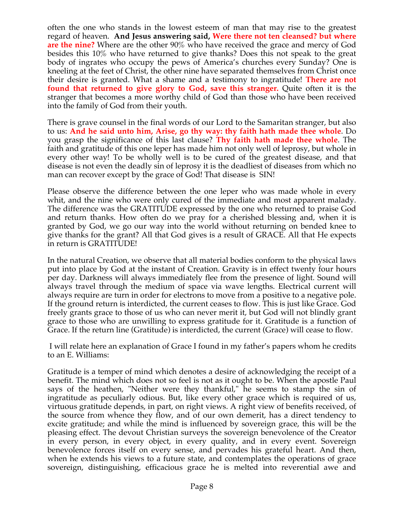often the one who stands in the lowest esteem of man that may rise to the greatest regard of heaven. **And Jesus answering said, Were there not ten cleansed? but where are the nine?** Where are the other 90% who have received the grace and mercy of God besides this 10% who have returned to give thanks? Does this not speak to the great body of ingrates who occupy the pews of America's churches every Sunday? One is kneeling at the feet of Christ, the other nine have separated themselves from Christ once their desire is granted. What a shame and a testimony to ingratitude! **There are not found that returned to give glory to God, save this stranger.** Quite often it is the stranger that becomes a more worthy child of God than those who have been received into the family of God from their youth.

There is grave counsel in the final words of our Lord to the Samaritan stranger, but also to us: **And he said unto him, Arise, go thy way: thy faith hath made thee whole**. Do you grasp the significance of this last clause? **Thy faith hath made thee whole**. The faith and gratitude of this one leper has made him not only well of leprosy, but whole in every other way! To be wholly well is to be cured of the greatest disease, and that disease is not even the deadly sin of leprosy it is the deadliest of diseases from which no man can recover except by the grace of God! That disease is SIN!

Please observe the difference between the one leper who was made whole in every whit, and the nine who were only cured of the immediate and most apparent malady. The difference was the GRATITUDE expressed by the one who returned to praise God and return thanks. How often do we pray for a cherished blessing and, when it is granted by God, we go our way into the world without returning on bended knee to give thanks for the grant? All that God gives is a result of GRACE. All that He expects in return is GRATITUDE!

In the natural Creation, we observe that all material bodies conform to the physical laws put into place by God at the instant of Creation. Gravity is in effect twenty four hours per day. Darkness will always immediately flee from the presence of light. Sound will always travel through the medium of space via wave lengths. Electrical current will always require are turn in order for electrons to move from a positive to a negative pole. If the ground return is interdicted, the current ceases to flow. This is just like Grace. God freely grants grace to those of us who can never merit it, but God will not blindly grant grace to those who are unwilling to express gratitude for it. Gratitude is a function of Grace. If the return line (Gratitude) is interdicted, the current (Grace) will cease to flow.

I will relate here an explanation of Grace I found in my father's papers whom he credits to an E. Williams:

Gratitude is a temper of mind which denotes a desire of acknowledging the receipt of a benefit. The mind which does not so feel is not as it ought to be. When the apostle Paul says of the heathen, "Neither were they thankful," he seems to stamp the sin of ingratitude as peculiarly odious. But, like every other grace which is required of us, virtuous gratitude depends, in part, on right views. A right view of benefits received, of the source from whence they flow, and of our own demerit, has a direct tendency to excite gratitude; and while the mind is influenced by sovereign grace, this will be the pleasing effect. The devout Christian surveys the sovereign benevolence of the Creator in every person, in every object, in every quality, and in every event. Sovereign benevolence forces itself on every sense, and pervades his grateful heart. And then, when he extends his views to a future state, and contemplates the operations of grace sovereign, distinguishing, efficacious grace he is melted into reverential awe and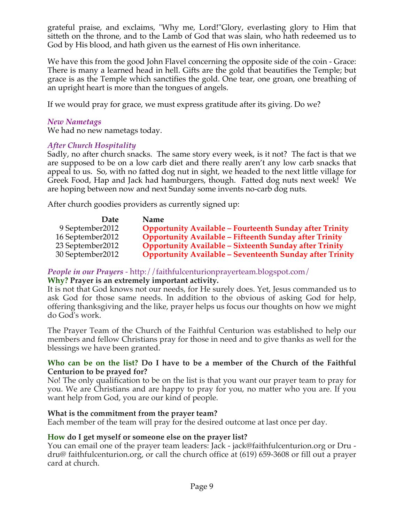grateful praise, and exclaims, "Why me, Lord!"Glory, everlasting glory to Him that sitteth on the throne, and to the Lamb of God that was slain, who hath redeemed us to God by His blood, and hath given us the earnest of His own inheritance.

We have this from the good John Flavel concerning the opposite side of the coin - Grace: There is many a learned head in hell. Gifts are the gold that beautifies the Temple; but grace is as the Temple which sanctifies the gold. One tear, one groan, one breathing of an upright heart is more than the tongues of angels.

If we would pray for grace, we must express gratitude after its giving. Do we?

### *New Nametags*

We had no new nametags today.

# *After Church Hospitality*

Sadly, no after church snacks. The same story every week, is it not? The fact is that we are supposed to be on a low carb diet and there really aren't any low carb snacks that appeal to us. So, with no fatted dog nut in sight, we headed to the next little village for Greek Food, Hap and Jack had hamburgers, though. Fatted dog nuts next week! We are hoping between now and next Sunday some invents no-carb dog nuts.

After church goodies providers as currently signed up:

| Date              | <b>Name</b>                                                     |
|-------------------|-----------------------------------------------------------------|
| 9 September2012   | <b>Opportunity Available - Fourteenth Sunday after Trinity</b>  |
| 16 September 2012 | <b>Opportunity Available - Fifteenth Sunday after Trinity</b>   |
| 23 September 2012 | <b>Opportunity Available - Sixteenth Sunday after Trinity</b>   |
| 30 September 2012 | <b>Opportunity Available - Seventeenth Sunday after Trinity</b> |

*People in our Prayers* - http://faithfulcenturionprayerteam.blogspot.com/

### **Why? Prayer is an extremely important activity.**

It is not that God knows not our needs, for He surely does. Yet, Jesus commanded us to ask God for those same needs. In addition to the obvious of asking God for help, offering thanksgiving and the like, prayer helps us focus our thoughts on how we might do God's work.

The Prayer Team of the Church of the Faithful Centurion was established to help our members and fellow Christians pray for those in need and to give thanks as well for the blessings we have been granted.

### **Who can be on the list? Do I have to be a member of the Church of the Faithful Centurion to be prayed for?**

No! The only qualification to be on the list is that you want our prayer team to pray for you. We are Christians and are happy to pray for you, no matter who you are. If you want help from God, you are our kind of people.

### **What is the commitment from the prayer team?**

Each member of the team will pray for the desired outcome at last once per day.

# **How do I get myself or someone else on the prayer list?**

You can email one of the prayer team leaders: Jack - jack@faithfulcenturion.org or Dru dru@ faithfulcenturion.org, or call the church office at (619) 659-3608 or fill out a prayer card at church.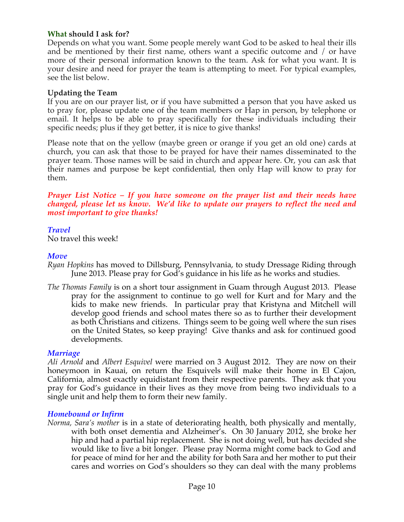## **What should I ask for?**

Depends on what you want. Some people merely want God to be asked to heal their ills and be mentioned by their first name, others want a specific outcome and / or have more of their personal information known to the team. Ask for what you want. It is your desire and need for prayer the team is attempting to meet. For typical examples, see the list below.

### **Updating the Team**

If you are on our prayer list, or if you have submitted a person that you have asked us to pray for, please update one of the team members or Hap in person, by telephone or email. It helps to be able to pray specifically for these individuals including their specific needs; plus if they get better, it is nice to give thanks!

Please note that on the yellow (maybe green or orange if you get an old one) cards at church, you can ask that those to be prayed for have their names disseminated to the prayer team. Those names will be said in church and appear here. Or, you can ask that their names and purpose be kept confidential, then only Hap will know to pray for them.

### *Prayer List Notice – If you have someone on the prayer list and their needs have changed, please let us know. We'd like to update our prayers to reflect the need and most important to give thanks!*

## *Travel*

No travel this week!

## *Move*

- *Ryan Hopkins* has moved to Dillsburg, Pennsylvania, to study Dressage Riding through June 2013. Please pray for God's guidance in his life as he works and studies.
- *The Thomas Family* is on a short tour assignment in Guam through August 2013. Please pray for the assignment to continue to go well for Kurt and for Mary and the kids to make new friends. In particular pray that Kristyna and Mitchell will develop good friends and school mates there so as to further their development as both Christians and citizens. Things seem to be going well where the sun rises on the United States, so keep praying! Give thanks and ask for continued good developments.

### *Marriage*

*Ali Arnold* and *Albert Esquivel* were married on 3 August 2012. They are now on their honeymoon in Kauai, on return the Esquivels will make their home in El Cajon, California, almost exactly equidistant from their respective parents. They ask that you pray for God's guidance in their lives as they move from being two individuals to a single unit and help them to form their new family.

### *Homebound or Infirm*

*Norma, Sara's mother* is in a state of deteriorating health, both physically and mentally, with both onset dementia and Alzheimer's. On 30 January 2012, she broke her hip and had a partial hip replacement. She is not doing well, but has decided she would like to live a bit longer. Please pray Norma might come back to God and for peace of mind for her and the ability for both Sara and her mother to put their cares and worries on God's shoulders so they can deal with the many problems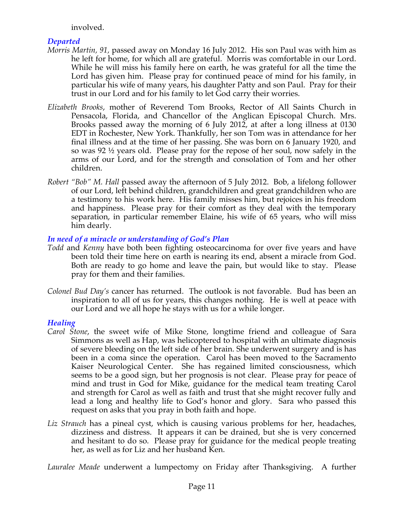involved.

# *Departed*

- *Morris Martin, 91,* passed away on Monday 16 July 2012. His son Paul was with him as he left for home, for which all are grateful. Morris was comfortable in our Lord. While he will miss his family here on earth, he was grateful for all the time the Lord has given him. Please pray for continued peace of mind for his family, in particular his wife of many years, his daughter Patty and son Paul. Pray for their trust in our Lord and for his family to let God carry their worries.
- *Elizabeth Brooks*, mother of Reverend Tom Brooks, Rector of All Saints Church in Pensacola, Florida, and Chancellor of the Anglican Episcopal Church. Mrs. Brooks passed away the morning of 6 July 2012, at after a long illness at 0130 EDT in Rochester, New York. Thankfully, her son Tom was in attendance for her final illness and at the time of her passing. She was born on 6 January 1920, and so was 92 ½ years old. Please pray for the repose of her soul, now safely in the arms of our Lord, and for the strength and consolation of Tom and her other children.
- *Robert "Bob" M. Hall* passed away the afternoon of 5 July 2012. Bob, a lifelong follower of our Lord, left behind children, grandchildren and great grandchildren who are a testimony to his work here. His family misses him, but rejoices in his freedom and happiness. Please pray for their comfort as they deal with the temporary separation, in particular remember Elaine, his wife of 65 years, who will miss him dearly.

# *In need of a miracle or understanding of God's Plan*

- *Todd* and *Kenny* have both been fighting osteocarcinoma for over five years and have been told their time here on earth is nearing its end, absent a miracle from God. Both are ready to go home and leave the pain, but would like to stay. Please pray for them and their families.
- *Colonel Bud Day's* cancer has returned. The outlook is not favorable. Bud has been an inspiration to all of us for years, this changes nothing. He is well at peace with our Lord and we all hope he stays with us for a while longer.

# *Healing*

- *Carol Stone*, the sweet wife of Mike Stone, longtime friend and colleague of Sara Simmons as well as Hap, was helicoptered to hospital with an ultimate diagnosis of severe bleeding on the left side of her brain. She underwent surgery and is has been in a coma since the operation. Carol has been moved to the Sacramento Kaiser Neurological Center. She has regained limited consciousness, which seems to be a good sign, but her prognosis is not clear. Please pray for peace of mind and trust in God for Mike, guidance for the medical team treating Carol and strength for Carol as well as faith and trust that she might recover fully and lead a long and healthy life to God's honor and glory. Sara who passed this request on asks that you pray in both faith and hope.
- Liz *Strauch* has a pineal cyst, which is causing various problems for her, headaches, dizziness and distress. It appears it can be drained, but she is very concerned and hesitant to do so. Please pray for guidance for the medical people treating her, as well as for Liz and her husband Ken.

*Lauralee Meade* underwent a lumpectomy on Friday after Thanksgiving. A further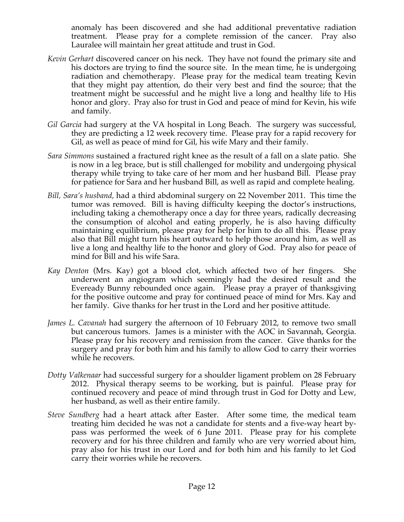anomaly has been discovered and she had additional preventative radiation treatment. Please pray for a complete remission of the cancer. Pray also Lauralee will maintain her great attitude and trust in God.

- *Kevin Gerhart* discovered cancer on his neck. They have not found the primary site and his doctors are trying to find the source site. In the mean time, he is undergoing radiation and chemotherapy. Please pray for the medical team treating Kevin that they might pay attention, do their very best and find the source; that the treatment might be successful and he might live a long and healthy life to His honor and glory. Pray also for trust in God and peace of mind for Kevin, his wife and family.
- *Gil Garcia* had surgery at the VA hospital in Long Beach. The surgery was successful, they are predicting a 12 week recovery time. Please pray for a rapid recovery for Gil, as well as peace of mind for Gil, his wife Mary and their family.
- *Sara Simmons* sustained a fractured right knee as the result of a fall on a slate patio. She is now in a leg brace, but is still challenged for mobility and undergoing physical therapy while trying to take care of her mom and her husband Bill. Please pray for patience for Sara and her husband Bill, as well as rapid and complete healing.
- *Bill, Sara's husband,* had a third abdominal surgery on 22 November 2011. This time the tumor was removed. Bill is having difficulty keeping the doctor's instructions, including taking a chemotherapy once a day for three years, radically decreasing the consumption of alcohol and eating properly, he is also having difficulty maintaining equilibrium, please pray for help for him to do all this. Please pray also that Bill might turn his heart outward to help those around him, as well as live a long and healthy life to the honor and glory of God. Pray also for peace of mind for Bill and his wife Sara.
- *Kay Denton* (Mrs. Kay) got a blood clot, which affected two of her fingers. She underwent an angiogram which seemingly had the desired result and the Eveready Bunny rebounded once again. Please pray a prayer of thanksgiving for the positive outcome and pray for continued peace of mind for Mrs. Kay and her family. Give thanks for her trust in the Lord and her positive attitude.
- *James L. Cavanah* had surgery the afternoon of 10 February 2012, to remove two small but cancerous tumors. James is a minister with the AOC in Savannah, Georgia. Please pray for his recovery and remission from the cancer. Give thanks for the surgery and pray for both him and his family to allow God to carry their worries while he recovers.
- *Dotty Valkenaar* had successful surgery for a shoulder ligament problem on 28 February 2012. Physical therapy seems to be working, but is painful. Please pray for continued recovery and peace of mind through trust in God for Dotty and Lew, her husband, as well as their entire family.
- *Steve Sundberg* had a heart attack after Easter. After some time, the medical team treating him decided he was not a candidate for stents and a five-way heart bypass was performed the week of 6 June 2011. Please pray for his complete recovery and for his three children and family who are very worried about him, pray also for his trust in our Lord and for both him and his family to let God carry their worries while he recovers.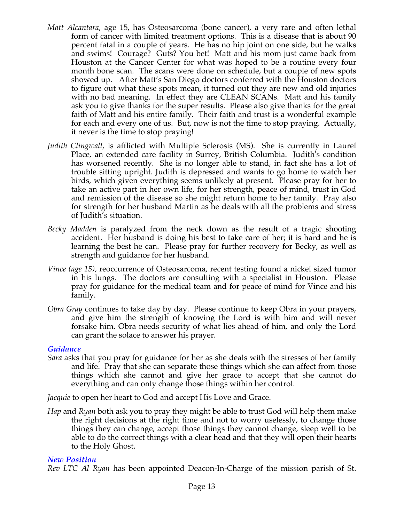- *Matt Alcantara*, age 15, has Osteosarcoma (bone cancer), a very rare and often lethal form of cancer with limited treatment options. This is a disease that is about 90 percent fatal in a couple of years. He has no hip joint on one side, but he walks and swims! Courage? Guts? You bet! Matt and his mom just came back from Houston at the Cancer Center for what was hoped to be a routine every four month bone scan. The scans were done on schedule, but a couple of new spots showed up. After Matt's San Diego doctors conferred with the Houston doctors to figure out what these spots mean, it turned out they are new and old injuries with no bad meaning. In effect they are CLEAN SCANs. Matt and his family ask you to give thanks for the super results. Please also give thanks for the great faith of Matt and his entire family. Their faith and trust is a wonderful example for each and every one of us. But, now is not the time to stop praying. Actually, it never is the time to stop praying!
- *Judith Clingwall*, is afflicted with Multiple Sclerosis (MS). She is currently in Laurel Place, an extended care facility in Surrey, British Columbia. Judith's condition has worsened recently. She is no longer able to stand, in fact she has a lot of trouble sitting upright. Judith is depressed and wants to go home to watch her birds, which given everything seems unlikely at present. Please pray for her to take an active part in her own life, for her strength, peace of mind, trust in God and remission of the disease so she might return home to her family. Pray also for strength for her husband Martin as he deals with all the problems and stress of Judith's situation.
- *Becky Madden* is paralyzed from the neck down as the result of a tragic shooting accident. Her husband is doing his best to take care of her; it is hard and he is learning the best he can. Please pray for further recovery for Becky, as well as strength and guidance for her husband.
- *Vince (age 15),* reoccurrence of Osteosarcoma, recent testing found a nickel sized tumor in his lungs. The doctors are consulting with a specialist in Houston. Please pray for guidance for the medical team and for peace of mind for Vince and his family.
- *Obra Gray* continues to take day by day. Please continue to keep Obra in your prayers, and give him the strength of knowing the Lord is with him and will never forsake him. Obra needs security of what lies ahead of him, and only the Lord can grant the solace to answer his prayer.

#### *Guidance*

*Sara* asks that you pray for guidance for her as she deals with the stresses of her family and life. Pray that she can separate those things which she can affect from those things which she cannot and give her grace to accept that she cannot do everything and can only change those things within her control.

*Jacquie* to open her heart to God and accept His Love and Grace.

*Hap* and *Ryan* both ask you to pray they might be able to trust God will help them make the right decisions at the right time and not to worry uselessly, to change those things they can change, accept those things they cannot change, sleep well to be able to do the correct things with a clear head and that they will open their hearts to the Holy Ghost.

### *New Position*

*Rev LTC Al Ryan* has been appointed Deacon-In-Charge of the mission parish of St.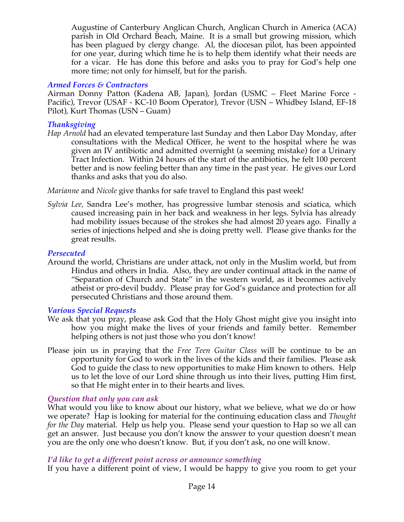Augustine of Canterbury Anglican Church, Anglican Church in America (ACA) parish in Old Orchard Beach, Maine. It is a small but growing mission, which has been plagued by clergy change. Al, the diocesan pilot, has been appointed for one year, during which time he is to help them identify what their needs are for a vicar. He has done this before and asks you to pray for God's help one more time; not only for himself, but for the parish.

### *Armed Forces & Contractors*

Airman Donny Patton (Kadena AB, Japan), Jordan (USMC – Fleet Marine Force - Pacific), Trevor (USAF - KC-10 Boom Operator), Trevor (USN – Whidbey Island, EF-18 Pilot), Kurt Thomas (USN – Guam)

#### *Thanksgiving*

*Hap Arnold* had an elevated temperature last Sunday and then Labor Day Monday, after consultations with the Medical Officer, he went to the hospital where he was given an IV antibiotic and admitted overnight (a seeming mistake) for a Urinary Tract Infection. Within 24 hours of the start of the antibiotics, he felt 100 percent better and is now feeling better than any time in the past year. He gives our Lord thanks and asks that you do also.

*Marianne* and *Nicole* give thanks for safe travel to England this past week!

*Sylvia Lee,* Sandra Lee's mother, has progressive lumbar stenosis and sciatica, which caused increasing pain in her back and weakness in her legs. Sylvia has already had mobility issues because of the strokes she had almost 20 years ago. Finally a series of injections helped and she is doing pretty well. Please give thanks for the great results.

#### *Persecuted*

Around the world, Christians are under attack, not only in the Muslim world, but from Hindus and others in India. Also, they are under continual attack in the name of "Separation of Church and State" in the western world, as it becomes actively atheist or pro-devil buddy. Please pray for God's guidance and protection for all persecuted Christians and those around them.

### *Various Special Requests*

- We ask that you pray, please ask God that the Holy Ghost might give you insight into how you might make the lives of your friends and family better. Remember helping others is not just those who you don't know!
- Please join us in praying that the *Free Teen Guitar Class* will be continue to be an opportunity for God to work in the lives of the kids and their families. Please ask God to guide the class to new opportunities to make Him known to others. Help us to let the love of our Lord shine through us into their lives, putting Him first, so that He might enter in to their hearts and lives.

### *Question that only you can ask*

What would you like to know about our history, what we believe, what we do or how we operate? Hap is looking for material for the continuing education class and *Thought for the Day* material. Help us help you. Please send your question to Hap so we all can get an answer. Just because you don't know the answer to your question doesn't mean you are the only one who doesn't know. But, if you don't ask, no one will know.

#### *I'd like to get a different point across or announce something*

If you have a different point of view, I would be happy to give you room to get your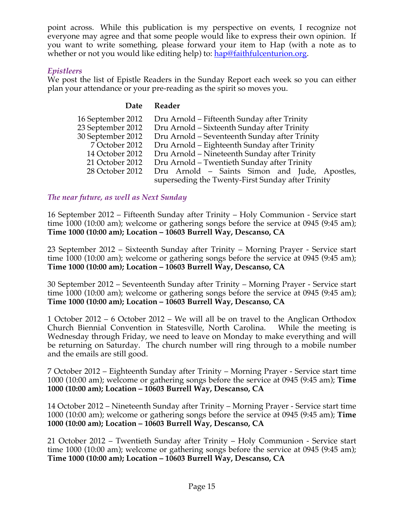point across. While this publication is my perspective on events, I recognize not everyone may agree and that some people would like to express their own opinion. If you want to write something, please forward your item to Hap (with a note as to whether or not you would like editing help) to: hap@faithfulcenturion.org.

# *Epistleers*

We post the list of Epistle Readers in the Sunday Report each week so you can either plan your attendance or your pre-reading as the spirit so moves you.

### **Date Reader**

| 16 September 2012 | Dru Arnold – Fifteenth Sunday after Trinity       |
|-------------------|---------------------------------------------------|
| 23 September 2012 | Dru Arnold – Sixteenth Sunday after Trinity       |
| 30 September 2012 | Dru Arnold – Seventeenth Sunday after Trinity     |
| 7 October 2012    | Dru Arnold – Eighteenth Sunday after Trinity      |
| 14 October 2012   | Dru Arnold – Nineteenth Sunday after Trinity      |
| 21 October 2012   | Dru Arnold – Twentieth Sunday after Trinity       |
| 28 October 2012   | Dru Arnold – Saints Simon and Jude, Apostles,     |
|                   | superseding the Twenty-First Sunday after Trinity |

*The near future, as well as Next Sunday*

16 September 2012 – Fifteenth Sunday after Trinity – Holy Communion - Service start time 1000 (10:00 am); welcome or gathering songs before the service at 0945 (9:45 am); **Time 1000 (10:00 am); Location – 10603 Burrell Way, Descanso, CA**

23 September 2012 – Sixteenth Sunday after Trinity – Morning Prayer - Service start time 1000 (10:00 am); welcome or gathering songs before the service at 0945 (9:45 am); **Time 1000 (10:00 am); Location – 10603 Burrell Way, Descanso, CA**

30 September 2012 – Seventeenth Sunday after Trinity – Morning Prayer - Service start time 1000 (10:00 am); welcome or gathering songs before the service at 0945 (9:45 am); **Time 1000 (10:00 am); Location – 10603 Burrell Way, Descanso, CA**

1 October 2012 – 6 October 2012 – We will all be on travel to the Anglican Orthodox Church Biennial Convention in Statesville, North Carolina. While the meeting is Wednesday through Friday, we need to leave on Monday to make everything and will be returning on Saturday. The church number will ring through to a mobile number and the emails are still good.

7 October 2012 – Eighteenth Sunday after Trinity – Morning Prayer - Service start time 1000 (10:00 am); welcome or gathering songs before the service at 0945 (9:45 am); **Time 1000 (10:00 am); Location – 10603 Burrell Way, Descanso, CA**

14 October 2012 – Nineteenth Sunday after Trinity – Morning Prayer - Service start time 1000 (10:00 am); welcome or gathering songs before the service at 0945 (9:45 am); **Time 1000 (10:00 am); Location – 10603 Burrell Way, Descanso, CA**

21 October 2012 – Twentieth Sunday after Trinity – Holy Communion - Service start time 1000 (10:00 am); welcome or gathering songs before the service at 0945 (9:45 am); **Time 1000 (10:00 am); Location – 10603 Burrell Way, Descanso, CA**